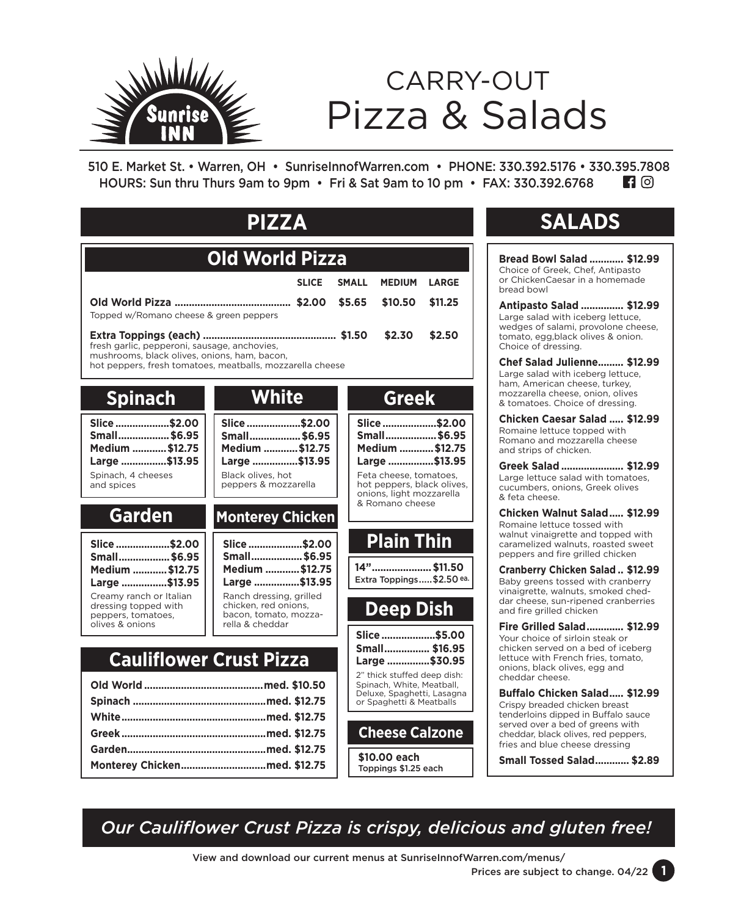

# Pizza & Salads CARRY-OUT

510 E. Market St. • Warren, OH • SunriseInnofWarren.com • PHONE: 330.392.5176 • 330.395.7808 HOURS: Sun thru Thurs 9am to 9pm • Fri & Sat 9am to 10 pm • FAX: 330.392.6768 $\blacksquare$  (6)

| <b>PIZZA</b>                                                                                                                                                                  |                                                                                                               |              |                                                                                                                                                     |         |  |  |  |
|-------------------------------------------------------------------------------------------------------------------------------------------------------------------------------|---------------------------------------------------------------------------------------------------------------|--------------|-----------------------------------------------------------------------------------------------------------------------------------------------------|---------|--|--|--|
| Old World Pizza                                                                                                                                                               |                                                                                                               |              |                                                                                                                                                     |         |  |  |  |
|                                                                                                                                                                               | <b>SLICE</b>                                                                                                  | <b>SMALL</b> | <b>MEDIUM</b>                                                                                                                                       | LARGE   |  |  |  |
| Topped w/Romano cheese & green peppers                                                                                                                                        |                                                                                                               | \$5.65       | \$10.50                                                                                                                                             | \$11.25 |  |  |  |
| \$2.30<br>\$2.50<br>fresh garlic, pepperoni, sausage, anchovies,<br>mushrooms, black olives, onions, ham, bacon,<br>hot peppers, fresh tomatoes, meatballs, mozzarella cheese |                                                                                                               |              |                                                                                                                                                     |         |  |  |  |
| <b>Spinach</b>                                                                                                                                                                | <b>White</b>                                                                                                  |              | <b>Greek</b>                                                                                                                                        |         |  |  |  |
| Slice\$2.00<br>Small\$6.95<br>Medium  \$12.75<br>Large \$13.95<br>Spinach, 4 cheeses<br>and spices                                                                            | Slice \$2.00<br>Small \$6.95<br>Medium  \$12.75<br>Large \$13.95<br>Black olives, hot<br>peppers & mozzarella |              | Slice \$2.00<br>Small\$6.95<br>Medium  \$12.75<br>Large \$13.95<br>Feta cheese, tomatoes,<br>hot peppers, black olives,<br>onions, light mozzarella |         |  |  |  |
| <b>Garden</b>                                                                                                                                                                 | <b>Monterey Chicken</b>                                                                                       |              | & Romano cheese                                                                                                                                     |         |  |  |  |
| Slice \$2.00<br>Small\$6.95<br>Medium  \$12.75<br>Large \$13.95                                                                                                               | Slice \$2.00<br>Small\$6.95<br>Medium  \$12.75<br>Large \$13.95                                               |              | <b>Plain Thin</b><br>14" \$11.50<br>Extra Toppings \$2.50 ea.                                                                                       |         |  |  |  |
| Creamy ranch or Italian<br>dressing topped with<br>peppers, tomatoes,<br>olives & onions                                                                                      | Ranch dressing, grilled<br>chicken, red onions,<br>bacon, tomato, mozza-<br>rella & cheddar                   |              | <b>Deep Dish</b>                                                                                                                                    |         |  |  |  |
|                                                                                                                                                                               |                                                                                                               |              | Slice \$5.00<br>Small \$16.95                                                                                                                       |         |  |  |  |
| <b>Cauliflower Crust Pizza</b>                                                                                                                                                |                                                                                                               |              | Large \$30.95<br>2" thick stuffed deep dish:                                                                                                        |         |  |  |  |
|                                                                                                                                                                               |                                                                                                               |              | Spinach, White, Meatball,<br>Deluxe, Spaghetti, Lasagna<br>or Spaghetti & Meatballs                                                                 |         |  |  |  |
|                                                                                                                                                                               |                                                                                                               |              | <b>Cheese Calzone</b>                                                                                                                               |         |  |  |  |
|                                                                                                                                                                               |                                                                                                               |              |                                                                                                                                                     |         |  |  |  |
|                                                                                                                                                                               |                                                                                                               |              | \$10.00 each<br>Toppings \$1.25 each                                                                                                                |         |  |  |  |

## SALADS **SALADS**

**Bread Bowl Salad ............ \$12.99** Choice of Greek, Chef, Antipasto or ChickenCaesar in a homemade bread bowl

**Antipasto Salad ............... \$12.99** Large salad with iceberg lettuce, wedges of salami, provolone cheese, tomato, egg,black olives & onion. Choice of dressing.

**Chef Salad Julienne......... \$12.99** Large salad with iceberg lettuce, ham, American cheese, turkey, mozzarella cheese, onion, olives & tomatoes. Choice of dressing.

**Chicken Caesar Salad ..... \$12.99** Romaine lettuce topped with Romano and mozzarella cheese and strips of chicken.

**Greek Salad ...................... \$12.99** Large lettuce salad with tomatoes, cucumbers, onions, Greek olives & feta cheese.

**Chicken Walnut Salad..... \$12.99** Romaine lettuce tossed with walnut vinaigrette and topped with caramelized walnuts, roasted sweet peppers and fire grilled chicken

**Cranberry Chicken Salad .. \$12.99** Baby greens tossed with cranberry vinaigrette, walnuts, smoked cheddar cheese, sun-ripened cranberries and fire grilled chicken

**Fire Grilled Salad............. \$12.99** Your choice of sirloin steak or chicken served on a bed of iceberg lettuce with French fries, tomato, onions, black olives, egg and cheddar cheese.

**Buffalo Chicken Salad..... \$12.99** Crispy breaded chicken breast tenderloins dipped in Buffalo sauce served over a bed of greens with cheddar, black olives, red peppers, fries and blue cheese dressing

**Small Tossed Salad............ \$2.89**

*Our Cauliflower Crust Pizza is crispy, delicious and gluten free!*

View and download our current menus at SunriseInnofWarren.com/menus/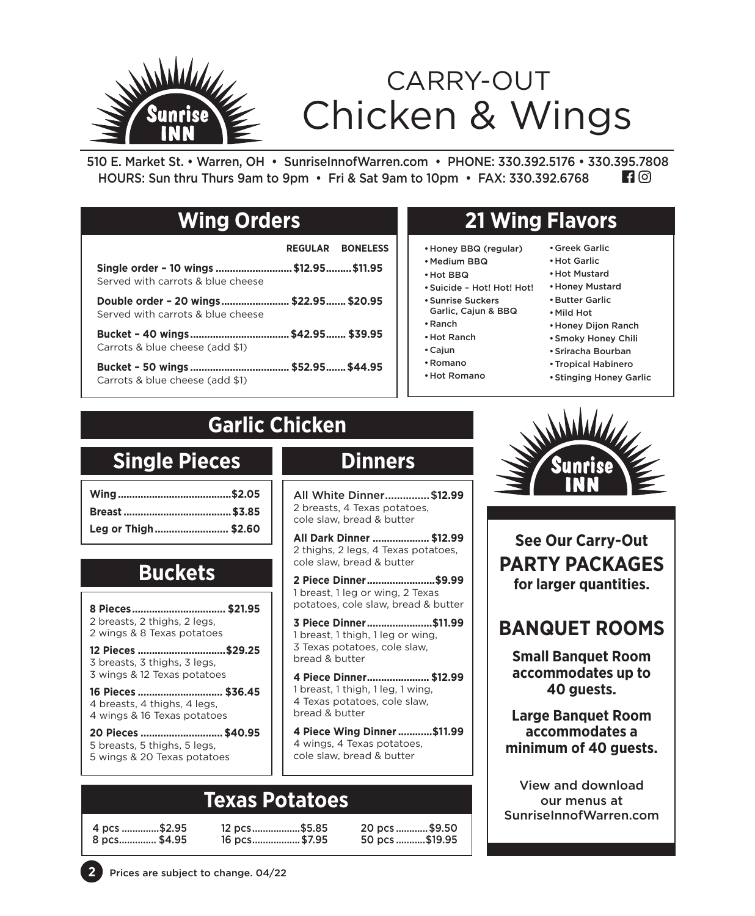

510 E. Market St. • Warren, OH • SunriseInnofWarren.com • PHONE: 330.392.5176 • 330.395.7808  $\blacksquare$  0 HOURS: Sun thru Thurs 9am to 9pm • Fri & Sat 9am to 10pm • FAX: 330.392.6768

### **Wing Orders**

### **REGULAR BONELESS**

**Single order – 10 wings ...........................\$12.95.........\$11.95** Served with carrots & blue cheese

**Double order – 20 wings........................ \$22.95....... \$20.95** Served with carrots & blue cheese

**Bucket – 40 wings...................................\$42.95....... \$39.95** Carrots & blue cheese (add \$1)

**Bucket – 50 wings ................................... \$52.95.......\$44.95** Carrots & blue cheese (add \$1)

### **21 Wing Flavors**

- •Honey BBQ (regular)
- •Medium BBQ
- •Hot BBQ
- •Suicide Hot! Hot! Hot!
- •Sunrise Suckers Garlic, Cajun & BBQ
- •Ranch
- •Hot Ranch
- •Cajun
- •Romano
- •Hot Romano
- •Greek Garlic •Hot Garlic
- •Hot Mustard
- •Honey Mustard
- •Butter Garlic
- •Mild Hot
- •Honey Dijon Ranch
- •Smoky Honey Chili
- •Sriracha Bourban
- •Tropical Habinero
- •Stinging Honey Garlic

## **Garlic Chicken**

### **Single Pieces**

| Leg or Thigh \$2.60 |  |
|---------------------|--|

### **Buckets**

**8 Pieces................................. \$21.95** 2 breasts, 2 thighs, 2 legs, 2 wings & 8 Texas potatoes

**12 Pieces ...............................\$29.25** 3 breasts, 3 thighs, 3 legs, 3 wings & 12 Texas potatoes

**16 Pieces .............................. \$36.45** 4 breasts, 4 thighs, 4 legs, 4 wings & 16 Texas potatoes

**20 Pieces ............................. \$40.95** 5 breasts, 5 thighs, 5 legs, 5 wings & 20 Texas potatoes

### **Dinners**

All White Dinner...............\$**12.99** 2 breasts, 4 Texas potatoes, cole slaw, bread & butter

**All Dark Dinner .................... \$12.99** 2 thighs, 2 legs, 4 Texas potatoes, cole slaw, bread & butter

**2 Piece Dinner........................\$9.99** 1 breast, 1 leg or wing, 2 Texas potatoes, cole slaw, bread & butter

**3 Piece Dinner.......................\$11.99** 1 breast, 1 thigh, 1 leg or wing, 3 Texas potatoes, cole slaw, bread & butter

**4 Piece Dinner...................... \$12.99** 1 breast, 1 thigh, 1 leg, 1 wing, 4 Texas potatoes, cole slaw, bread & butter

**4 Piece Wing Dinner ............\$11.99**  4 wings, 4 Texas potatoes, cole slaw, bread & butter

## **Texas Potatoes**

8 pcs.............. \$4.95 16 pcs..................\$7.95 50 pcs ...........\$19.95

4 pcs ..............\$2.95 12 pcs..................\$5.85 20 pcs ............\$9.50



**See Our Carry-Out PARTY PACKAGES for larger quantities.**

### **BANQUET ROOMS**

**Small Banquet Room accommodates up to 40 guests.**

**Large Banquet Room accommodates a minimum of 40 guests.**

View and download our menus at SunriseInnofWarren.com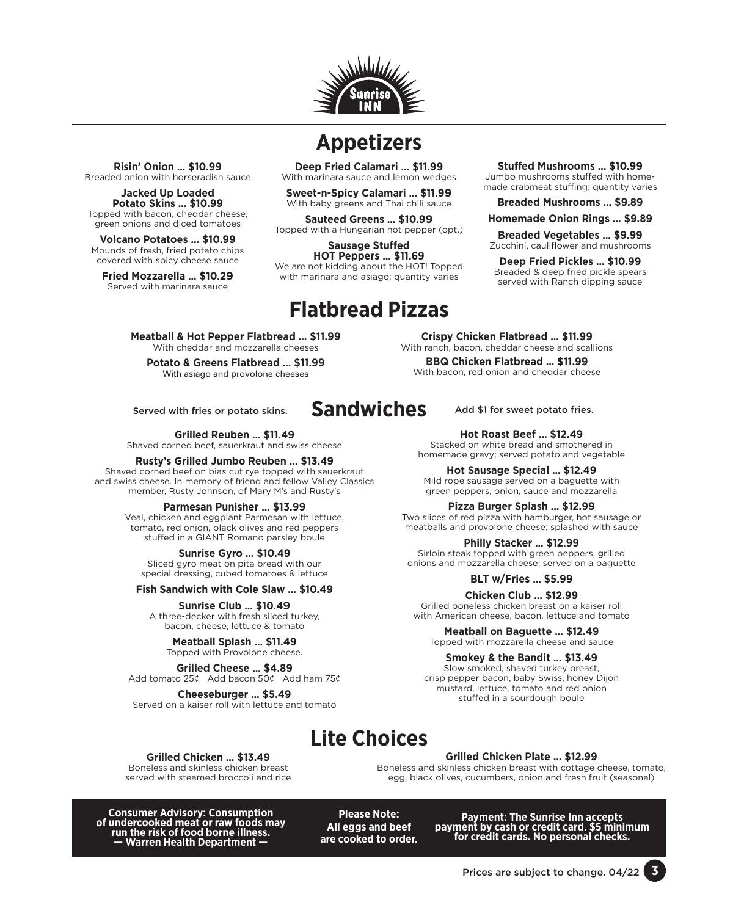

### **Appetizers**

**Deep Fried Calamari … \$11.99** With marinara sauce and lemon wedges

**Sweet-n-Spicy Calamari … \$11.99**  With baby greens and Thai chili sauce

**Sauteed Greens … \$10.99** Topped with a Hungarian hot pepper (opt.)

**Sausage Stuffed HOT Peppers … \$11.69** We are not kidding about the HOT! Topped with marinara and asiago; quantity varies

**Sandwiches**

#### **Stuffed Mushrooms … \$10.99** Jumbo mushrooms stuffed with homemade crabmeat stuffing; quantity varies

**Breaded Mushrooms … \$9.89**

**Homemade Onion Rings … \$9.89**

**Breaded Vegetables … \$9.99** Zucchini, cauliflower and mushrooms

**Deep Fried Pickles … \$10.99** Breaded & deep fried pickle spears served with Ranch dipping sauce

## **Flatbread Pizzas**

**Meatball & Hot Pepper Flatbread … \$11.99** With cheddar and mozzarella cheeses

**Potato & Greens Flatbread … \$11.99** With asiago and provolone cheeses

Served with fries or potato skins.  $SandWICDES$  Add \$1 for sweet potato fries.

**Risin' Onion … \$10.99** Breaded onion with horseradish sauce **Jacked Up Loaded Potato Skins … \$10.99** Topped with bacon, cheddar cheese, green onions and diced tomatoes **Volcano Potatoes … \$10.99** Mounds of fresh, fried potato chips covered with spicy cheese sauce **Fried Mozzarella … \$10.29** Served with marinara sauce

**Grilled Reuben … \$11.49** Shaved corned beef, sauerkraut and swiss cheese

#### **Rusty's Grilled Jumbo Reuben … \$13.49**

Shaved corned beef on bias cut rye topped with sauerkraut and swiss cheese. In memory of friend and fellow Valley Classics member, Rusty Johnson, of Mary M's and Rusty's

#### **Parmesan Punisher … \$13.99**

Veal, chicken and eggplant Parmesan with lettuce, tomato, red onion, black olives and red peppers stuffed in a GIANT Romano parsley boule

#### **Sunrise Gyro … \$10.49**

Sliced gyro meat on pita bread with our special dressing, cubed tomatoes & lettuce

**Fish Sandwich with Cole Slaw … \$10.49**

**Sunrise Club … \$10.49** A three-decker with fresh sliced turkey, bacon, cheese, lettuce & tomato

**Meatball Splash … \$11.49** Topped with Provolone cheese.

**Grilled Cheese … \$4.89** Add tomato 25¢ Add bacon 50¢ Add ham 75¢

**Cheeseburger … \$5.49** Served on a kaiser roll with lettuce and tomato

**Crispy Chicken Flatbread … \$11.99** With ranch, bacon, cheddar cheese and scallions

**BBQ Chicken Flatbread … \$11.99** 

With bacon, red onion and cheddar cheese

#### **Hot Roast Beef … \$12.49**

Stacked on white bread and smothered in homemade gravy; served potato and vegetable

**Hot Sausage Special … \$12.49** Mild rope sausage served on a baguette with green peppers, onion, sauce and mozzarella

#### **Pizza Burger Splash … \$12.99**

Two slices of red pizza with hamburger, hot sausage or meatballs and provolone cheese; splashed with sauce

#### **Philly Stacker … \$12.99**

Sirloin steak topped with green peppers, grilled onions and mozzarella cheese; served on a baguette

**BLT w/Fries … \$5.99**

**Chicken Club … \$12.99** Grilled boneless chicken breast on a kaiser roll with American cheese, bacon, lettuce and tomato

**Meatball on Baguette … \$12.49** Topped with mozzarella cheese and sauce

**Smokey & the Bandit … \$13.49**

Slow smoked, shaved turkey breast, crisp pepper bacon, baby Swiss, honey Dijon mustard, lettuce, tomato and red onion stuffed in a sourdough boule

### **Lite Choices**

#### **Grilled Chicken … \$13.49**

Boneless and skinless chicken breast served with steamed broccoli and rice **Grilled Chicken Plate … \$12.99**

Boneless and skinless chicken breast with cottage cheese, tomato, egg, black olives, cucumbers, onion and fresh fruit (seasonal)

**Consumer Advisory: Consumption of undercooked meat or raw foods may run the risk of food borne illness. — Warren Health Department —**

**Please Note: All eggs and beef are cooked to order.** **Payment: The Sunrise Inn accepts payment by cash or credit card. \$5 minimum for credit cards. No personal checks.** 

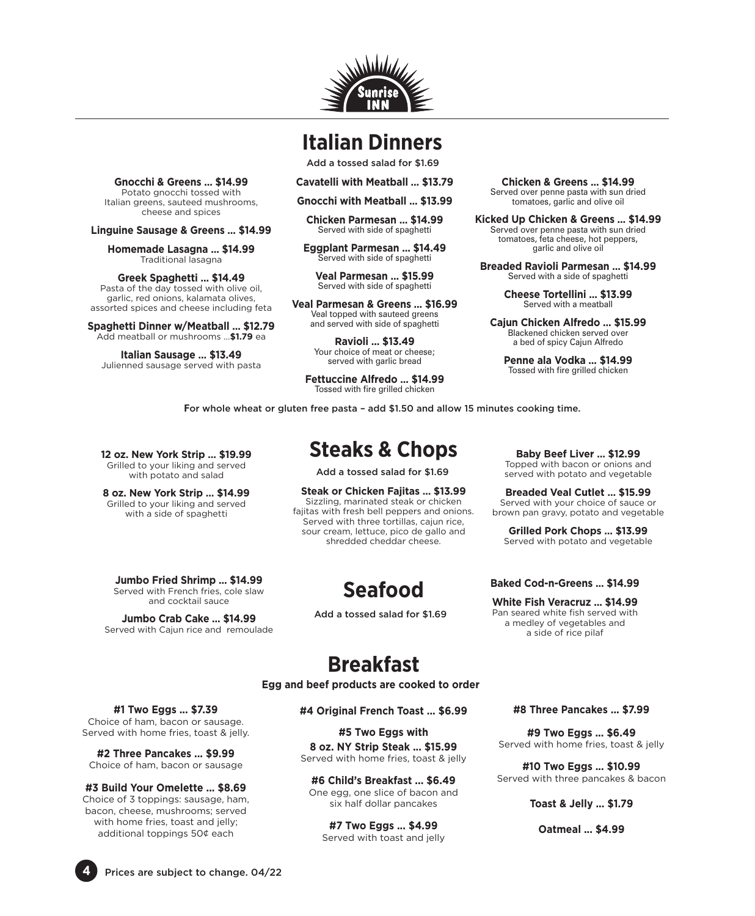

### **Italian Dinners**

Add a tossed salad for \$1.69

**Cavatelli with Meatball … \$13.79**

**Gnocchi with Meatball … \$13.99**

**Chicken Parmesan … \$14.99**  Served with side of spaghetti

**Eggplant Parmesan … \$14.49** Served with side of spaghetti

**Veal Parmesan … \$15.99**  Served with side of spaghetti

**Veal Parmesan & Greens … \$16.99**  Veal topped with sauteed greens and served with side of spaghetti

> **Ravioli … \$13.49** Your choice of meat or cheese; served with garlic bread

**Fettuccine Alfredo … \$14.99** Tossed with fire grilled chicken

**Chicken & Greens … \$14.99** Served over penne pasta with sun dried tomatoes, garlic and olive oil

**Kicked Up Chicken & Greens … \$14.99** Served over penne pasta with sun dried tomatoes, feta cheese, hot peppers, garlic and olive oil

**Breaded Ravioli Parmesan … \$14.99** Served with a side of spaghetti

> **Cheese Tortellini … \$13.99** Served with a meatball

**Cajun Chicken Alfredo … \$15.99** Blackened chicken served over a bed of spicy Cajun Alfredo

**Penne ala Vodka … \$14.99** Tossed with fire grilled chicken

**F**or whole wheat or gluten free pasta – add \$1.50 and allow 15 minutes cooking time.

**12 oz. New York Strip … \$19.99** Grilled to your liking and served with potato and salad

**Gnocchi & Greens … \$14.99** Potato gnocchi tossed with Italian greens, sauteed mushrooms, cheese and spices **Linguine Sausage & Greens … \$14.99 Homemade Lasagna … \$14.99** Traditional lasagna **Greek Spaghetti … \$14.49** Pasta of the day tossed with olive oil, garlic, red onions, kalamata olives, assorted spices and cheese including feta **Spaghetti Dinner w/Meatball … \$12.79** Add meatball or mushrooms …**\$1.79** ea **Italian Sausage … \$13.49** Julienned sausage served with pasta

**8 oz. New York Strip … \$14.99** Grilled to your liking and served with a side of spaghetti

**Jumbo Fried Shrimp … \$14.99** Served with French fries, cole slaw and cocktail sauce

**Jumbo Crab Cake … \$14.99** Served with Cajun rice and remoulade

### **Steaks & Chops**

Add a tossed salad for \$1.69

**Steak or Chicken Fajitas … \$13.99** Sizzling, marinated steak or chicken fajitas with fresh bell peppers and onions. Served with three tortillas, cajun rice, sour cream, lettuce, pico de gallo and shredded cheddar cheese.

**Seafood**

Add a tossed salad for \$1.69

**Baby Beef Liver … \$12.99** Topped with bacon or onions and served with potato and vegetable

**Breaded Veal Cutlet … \$15.99** Served with your choice of sauce or brown pan gravy, potato and vegetable

**Grilled Pork Chops … \$13.99** Served with potato and vegetable

**Baked Cod-n-Greens … \$14.99**

**White Fish Veracruz … \$14.99** Pan seared white fish served with a medley of vegetables and a side of rice pilaf

### **Breakfast**

**Egg and beef products are cooked to order**

**#1 Two Eggs ... \$7.39**

Choice of ham, bacon or sausage. Served with home fries, toast & jelly.

**#2 Three Pancakes ... \$9.99** Choice of ham, bacon or sausage

**#3 Build Your Omelette ... \$8.69** Choice of 3 toppings: sausage, ham, bacon, cheese, mushrooms; served with home fries, toast and jelly; additional toppings 50¢ each

**#4 Original French Toast ... \$6.99**

**#5 Two Eggs with 8 oz. NY Strip Steak ... \$15.99** Served with home fries, toast & jelly

**#6 Child's Breakfast ... \$6.49** One egg, one slice of bacon and six half dollar pancakes

**#7 Two Eggs ... \$4.99** Served with toast and jelly **#8 Three Pancakes ... \$7.99**

**#9 Two Eggs ... \$6.49** Served with home fries, toast & jelly

**#10 Two Eggs ... \$10.99** Served with three pancakes & bacon

**Toast & Jelly ... \$1.79**

**Oatmeal ... \$4.99** 

**4** Prices are subject to change. 04/22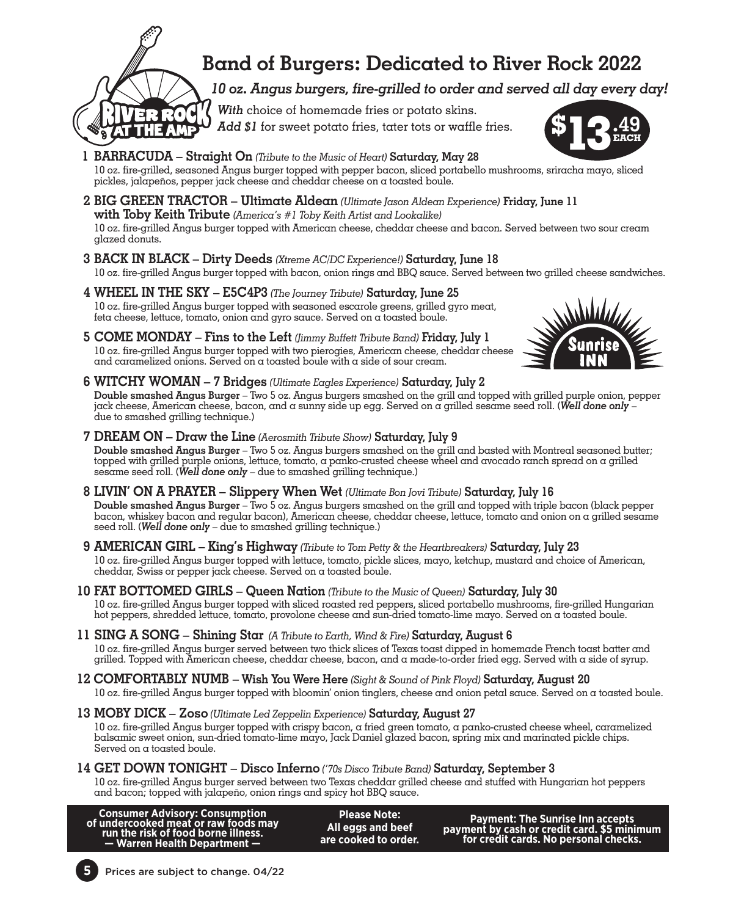

### **Band of Burgers: Dedicated to River Rock 2022**

*10 oz. Angus burgers, fire-grilled to order and served all day every day!*

 *With* choice of homemade fries or potato skins.  *Add \$1* for sweet potato fries, tater tots or waffle fries. **\$**

- **1 BARRACUDA Straight On** *(Tribute to the Music of Heart)* **Saturday, May 28** 10 oz. fire-grilled, seasoned Angus burger topped with pepper bacon, sliced portabello mushrooms, sriracha mayo, sliced pickles, jalapeños, pepper jack cheese and cheddar cheese on a toasted boule.
- **2 BIG GREEN TRACTOR Ultimate Aldean** *(Ultimate Jason Aldean Experience)* **Friday, June 11 with Toby Keith Tribute** *(America's #1 Toby Keith Artist and Lookalike)* 10 oz. fire-grilled Angus burger topped with American cheese, cheddar cheese and bacon. Served between two sour cream glazed donuts.
- **3 BACK IN BLACK Dirty Deeds** *(Xtreme AC/DC Experience!)* **Saturday, June 18** 10 oz. fire-grilled Angus burger topped with bacon, onion rings and BBQ sauce. Served between two grilled cheese sandwiches.
- **4 WHEEL IN THE SKY E5C4P3** *(The Journey Tribute)* **Saturday, June 25** 10 oz. fire-grilled Angus burger topped with seasoned escarole greens, grilled gyro meat, feta cheese, lettuce, tomato, onion and gyro sauce. Served on a toasted boule.
- **5 COME MONDAY Fins to the Left** *(Jimmy Buffett Tribute Band)* **Friday, July 1**  10 oz. fire-grilled Angus burger topped with two pierogies, American cheese, cheddar cheese and caramelized onions. Served on a toasted boule with a side of sour cream.
- 
- **6 WITCHY WOMAN 7 Bridges** *(Ultimate Eagles Experience)* **Saturday, July 2 Double smashed Angus Burger** – Two 5 oz. Angus burgers smashed on the grill and topped with grilled purple onion, pepper jack cheese, American cheese, bacon, and a sunny side up egg. Served on a grilled sesame seed roll. (*Well done only* – due to smashed grilling technique.)
- **7 DREAM ON Draw the Line** *(Aerosmith Tribute Show)* **Saturday, July 9 Double smashed Angus Burger** – Two 5 oz. Angus burgers smashed on the grill and basted with Montreal seasoned butter; topped with grilled purple onions, lettuce, tomato, a panko-crusted cheese wheel and avocado ranch spread on a grilled sesame seed roll. (*Well done only* – due to smashed grilling technique.)
- **8 LIVIN' ON A PRAYER Slippery When Wet** *(Ultimate Bon Jovi Tribute)* **Saturday, July 16 Double smashed Angus Burger** – Two 5 oz. Angus burgers smashed on the grill and topped with triple bacon (black pepper bacon, whiskey bacon and regular bacon), American cheese, cheddar cheese, lettuce, tomato and onion on a grilled sesame seed roll. (*Well done only* – due to smashed grilling technique.)
- **9 AMERICAN GIRL King's Highway** *(Tribute to Tom Petty & the Heartbreakers)* **Saturday, July 23** 10 oz. fire-grilled Angus burger topped with lettuce, tomato, pickle slices, mayo, ketchup, mustard and choice of American, cheddar, Swiss or pepper jack cheese. Served on a toasted boule.
- **10 FAT BOTTOMED GIRLS Queen Nation** *(Tribute to the Music of Queen)* **Saturday, July 30** 10 oz. fire-grilled Angus burger topped with sliced roasted red peppers, sliced portabello mushrooms, fire-grilled Hungarian hot peppers, shredded lettuce, tomato, provolone cheese and sun-dried tomato-lime mayo. Served on a toasted boule.
- **11 SING A SONG Shining Star** *(A Tribute to Earth, Wind & Fire)* **Saturday, August 6** 10 oz. fire-grilled Angus burger served between two thick slices of Texas toast dipped in homemade French toast batter and grilled. Topped with American cheese, cheddar cheese, bacon, and a made-to-order fried egg. Served with a side of syrup.
- **12 COMFORTABLY NUMB Wish You Were Here** *(Sight & Sound of Pink Floyd)* **Saturday, August 20** 10 oz. fire-grilled Angus burger topped with bloomin' onion tinglers, cheese and onion petal sauce. Served on a toasted boule.
- **13 MOBY DICK Zoso** *(Ultimate Led Zeppelin Experience)* **Saturday, August 27**

10 oz. fire-grilled Angus burger topped with crispy bacon, a fried green tomato, a panko-crusted cheese wheel, caramelized<br>balsamic sweet onion, sun-dried tomato-lime mayo, Jack Daniel glazed bacon, spring mix and marinate Served on a toasted boule.

### **14 GET DOWN TONIGHT – Disco Inferno** *('70s Disco Tribute Band)* **Saturday, September 3**

10 oz. fire-grilled Angus burger served between two Texas cheddar grilled cheese and stuffed with Hungarian hot peppers and bacon; topped with jalapeño, onion rings and spicy hot BBQ sauce.

| <b>Consumer Advisory: Consumption</b><br>of undercooked meat or raw foods may<br>run the risk of food borne illness.<br>- Warren Health Department - | <b>Please Note:</b><br>All eggs and beef<br>are cooked to order. | Payment: The Sunrise Inn accepts<br>payment by cash or credit card. \$5 minimum<br>for credit cards. No personal checks. |
|------------------------------------------------------------------------------------------------------------------------------------------------------|------------------------------------------------------------------|--------------------------------------------------------------------------------------------------------------------------|
|------------------------------------------------------------------------------------------------------------------------------------------------------|------------------------------------------------------------------|--------------------------------------------------------------------------------------------------------------------------|